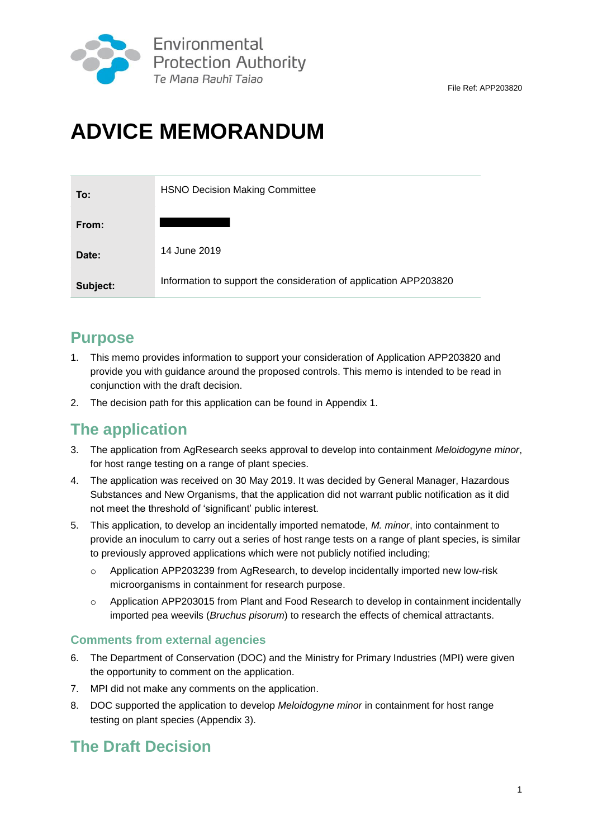

# **ADVICE MEMORANDUM**

| To:      | <b>HSNO Decision Making Committee</b>                             |
|----------|-------------------------------------------------------------------|
| From:    |                                                                   |
| Date:    | 14 June 2019                                                      |
| Subject: | Information to support the consideration of application APP203820 |

### **Purpose**

- 1. This memo provides information to support your consideration of Application APP203820 and provide you with guidance around the proposed controls. This memo is intended to be read in conjunction with the draft decision.
- 2. The decision path for this application can be found in Appendix 1.

### **The application**

- 3. The application from AgResearch seeks approval to develop into containment *Meloidogyne minor*, for host range testing on a range of plant species.
- 4. The application was received on 30 May 2019. It was decided by General Manager, Hazardous Substances and New Organisms, that the application did not warrant public notification as it did not meet the threshold of 'significant' public interest.
- 5. This application, to develop an incidentally imported nematode, *M. minor*, into containment to provide an inoculum to carry out a series of host range tests on a range of plant species, is similar to previously approved applications which were not publicly notified including;
	- o Application APP203239 from AgResearch, to develop incidentally imported new low-risk microorganisms in containment for research purpose.
	- o Application APP203015 from Plant and Food Research to develop in containment incidentally imported pea weevils (*Bruchus pisorum*) to research the effects of chemical attractants.

### **Comments from external agencies**

- 6. The Department of Conservation (DOC) and the Ministry for Primary Industries (MPI) were given the opportunity to comment on the application.
- 7. MPI did not make any comments on the application.
- 8. DOC supported the application to develop *Meloidogyne minor* in containment for host range testing on plant species (Appendix 3).

### **The Draft Decision**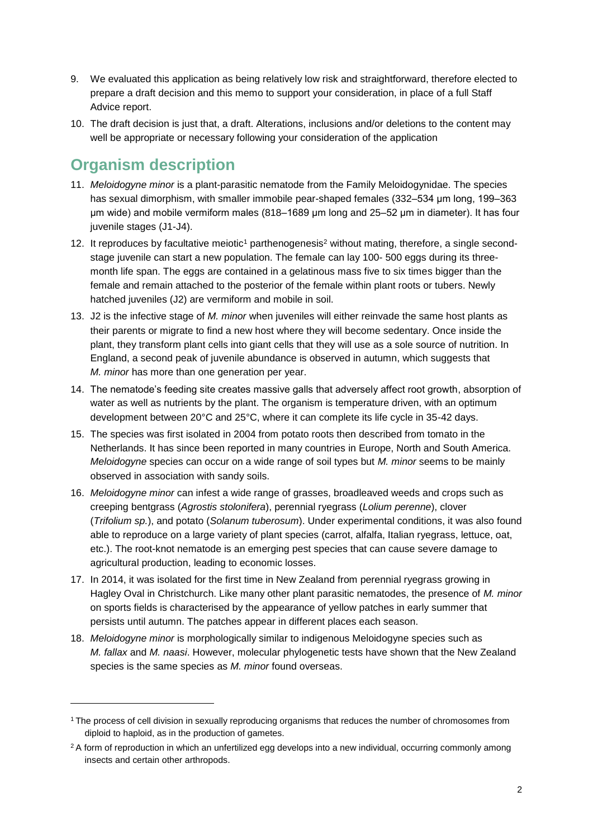- 9. We evaluated this application as being relatively low risk and straightforward, therefore elected to prepare a draft decision and this memo to support your consideration, in place of a full Staff Advice report.
- 10. The draft decision is just that, a draft. Alterations, inclusions and/or deletions to the content may well be appropriate or necessary following your consideration of the application

## **Organism description**

- 11. *Meloidogyne minor* is a plant-parasitic nematode from the Family Meloidogynidae. The species has sexual dimorphism, with smaller immobile pear-shaped females (332–534 μm long, 199–363 μm wide) and mobile vermiform males (818–1689 μm long and 25–52 μm in diameter). It has four juvenile stages (J1-J4).
- 12. It reproduces by facultative meiotic<sup>1</sup> parthenogenesis<sup>2</sup> without mating, therefore, a single secondstage juvenile can start a new population. The female can lay 100- 500 eggs during its threemonth life span. The eggs are contained in a gelatinous mass five to six times bigger than the female and remain attached to the posterior of the female within plant roots or tubers. Newly hatched juveniles (J2) are vermiform and mobile in soil.
- 13. J2 is the infective stage of *M. minor* when juveniles will either reinvade the same host plants as their parents or migrate to find a new host where they will become sedentary. Once inside the plant, they transform plant cells into giant cells that they will use as a sole source of nutrition. In England, a second peak of juvenile abundance is observed in autumn, which suggests that *M. minor* has more than one generation per year.
- 14. The nematode's feeding site creates massive galls that adversely affect root growth, absorption of water as well as nutrients by the plant. The organism is temperature driven, with an optimum development between 20°C and 25°C, where it can complete its life cycle in 35-42 days.
- 15. The species was first isolated in 2004 from potato roots then described from tomato in the Netherlands. It has since been reported in many countries in Europe, North and South America. *Meloidogyne* species can occur on a wide range of soil types but *M. minor* seems to be mainly observed in association with sandy soils.
- 16. *Meloidogyne minor* can infest a wide range of grasses, broadleaved weeds and crops such as creeping bentgrass (*Agrostis stolonifera*), perennial ryegrass (*Lolium perenne*), clover (*Trifolium sp.*), and potato (*Solanum tuberosum*). Under experimental conditions, it was also found able to reproduce on a large variety of plant species (carrot, alfalfa, Italian ryegrass, lettuce, oat, etc.). The root-knot nematode is an emerging pest species that can cause severe damage to agricultural production, leading to economic losses.
- 17. In 2014, it was isolated for the first time in New Zealand from perennial ryegrass growing in Hagley Oval in Christchurch. Like many other plant parasitic nematodes, the presence of *M. minor* on sports fields is characterised by the appearance of yellow patches in early summer that persists until autumn. The patches appear in different places each season.
- 18. *Meloidogyne minor* is morphologically similar to indigenous Meloidogyne species such as *M. fallax* and *M. naasi*. However, molecular phylogenetic tests have shown that the New Zealand species is the same species as *M. minor* found overseas.

<sup>1</sup> The process of cell division in sexually reproducing organisms that reduces the number of chromosomes from diploid to haploid, as in the production of gametes.

<sup>&</sup>lt;sup>2</sup> A form of reproduction in which an unfertilized egg develops into a new individual, occurring commonly among insects and certain other arthropods.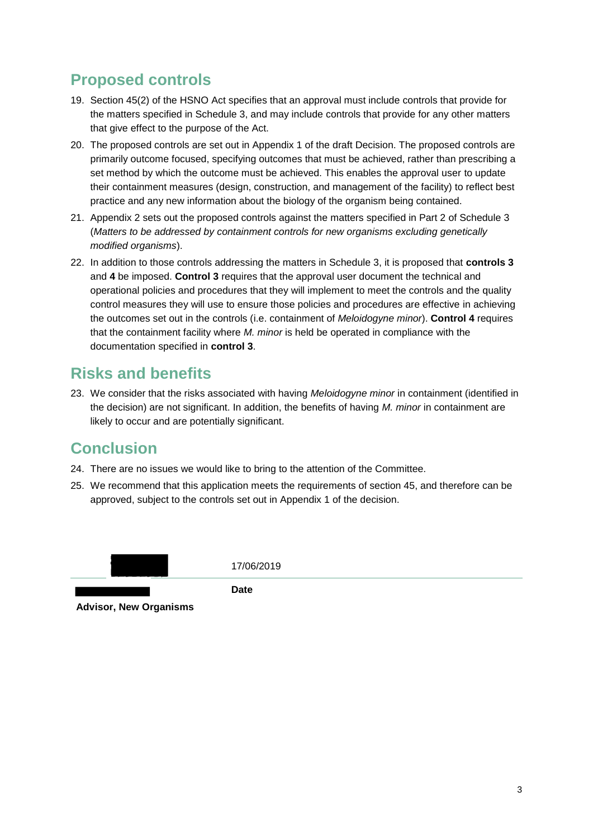## **Proposed controls**

- 19. Section 45(2) of the HSNO Act specifies that an approval must include controls that provide for the matters specified in Schedule 3, and may include controls that provide for any other matters that give effect to the purpose of the Act.
- 20. The proposed controls are set out in Appendix 1 of the draft Decision. The proposed controls are primarily outcome focused, specifying outcomes that must be achieved, rather than prescribing a set method by which the outcome must be achieved. This enables the approval user to update their containment measures (design, construction, and management of the facility) to reflect best practice and any new information about the biology of the organism being contained.
- 21. Appendix 2 sets out the proposed controls against the matters specified in Part 2 of Schedule 3 (*Matters to be addressed by containment controls for new organisms excluding genetically modified organisms*).
- 22. In addition to those controls addressing the matters in Schedule 3, it is proposed that **controls 3** and **4** be imposed. **Control 3** requires that the approval user document the technical and operational policies and procedures that they will implement to meet the controls and the quality control measures they will use to ensure those policies and procedures are effective in achieving the outcomes set out in the controls (i.e. containment of *Meloidogyne minor*). **Control 4** requires that the containment facility where *M. minor* is held be operated in compliance with the documentation specified in **control 3**.

### **Risks and benefits**

23. We consider that the risks associated with having *Meloidogyne minor* in containment (identified in the decision) are not significant. In addition, the benefits of having *M. minor* in containment are likely to occur and are potentially significant.

## **Conclusion**

- 24. There are no issues we would like to bring to the attention of the Committee.
- 25. We recommend that this application meets the requirements of section 45, and therefore can be approved, subject to the controls set out in Appendix 1 of the decision.



17/06/2019

**Date**

**Advisor, New Organisms**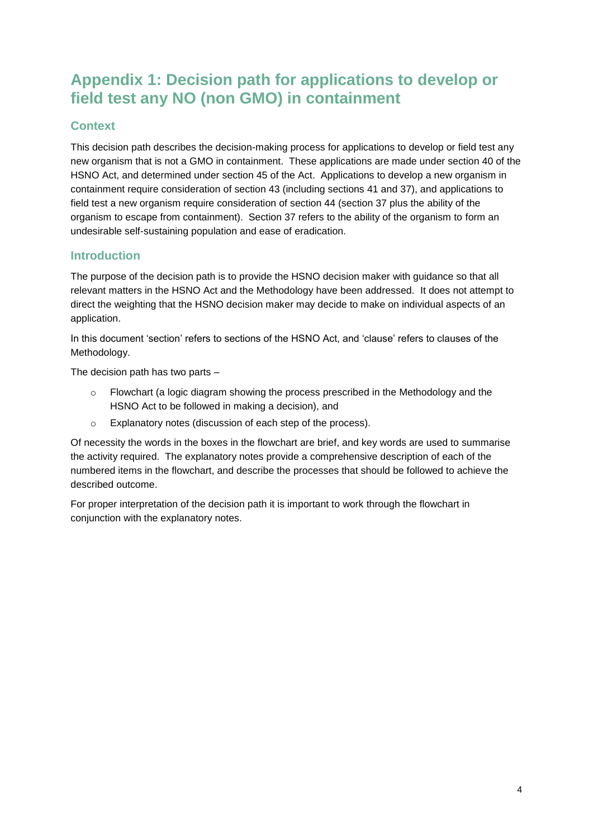### **Appendix 1: Decision path for applications to develop or field test any NO (non GMO) in containment**

### **Context**

This decision path describes the decision-making process for applications to develop or field test any new organism that is not a GMO in containment. These applications are made under section 40 of the HSNO Act, and determined under section 45 of the Act. Applications to develop a new organism in containment require consideration of section 43 (including sections 41 and 37), and applications to field test a new organism require consideration of section 44 (section 37 plus the ability of the organism to escape from containment). Section 37 refers to the ability of the organism to form an undesirable self-sustaining population and ease of eradication.

### **Introduction**

The purpose of the decision path is to provide the HSNO decision maker with guidance so that all relevant matters in the HSNO Act and the Methodology have been addressed. It does not attempt to direct the weighting that the HSNO decision maker may decide to make on individual aspects of an application.

In this document 'section' refers to sections of the HSNO Act, and 'clause' refers to clauses of the Methodology.

The decision path has two parts –

- o Flowchart (a logic diagram showing the process prescribed in the Methodology and the HSNO Act to be followed in making a decision), and
- o Explanatory notes (discussion of each step of the process).

Of necessity the words in the boxes in the flowchart are brief, and key words are used to summarise the activity required. The explanatory notes provide a comprehensive description of each of the numbered items in the flowchart, and describe the processes that should be followed to achieve the described outcome.

For proper interpretation of the decision path it is important to work through the flowchart in conjunction with the explanatory notes.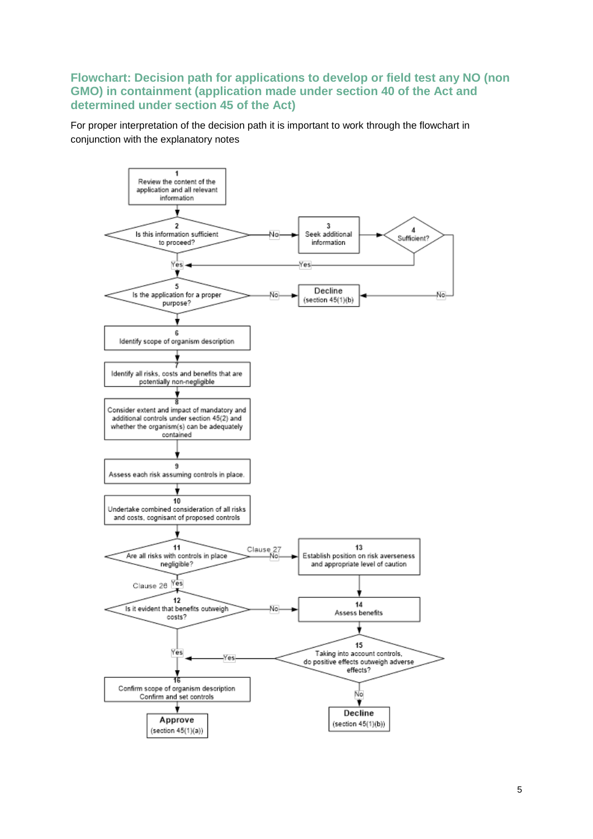#### **Flowchart: Decision path for applications to develop or field test any NO (non GMO) in containment (application made under section 40 of the Act and determined under section 45 of the Act)**

For proper interpretation of the decision path it is important to work through the flowchart in conjunction with the explanatory notes

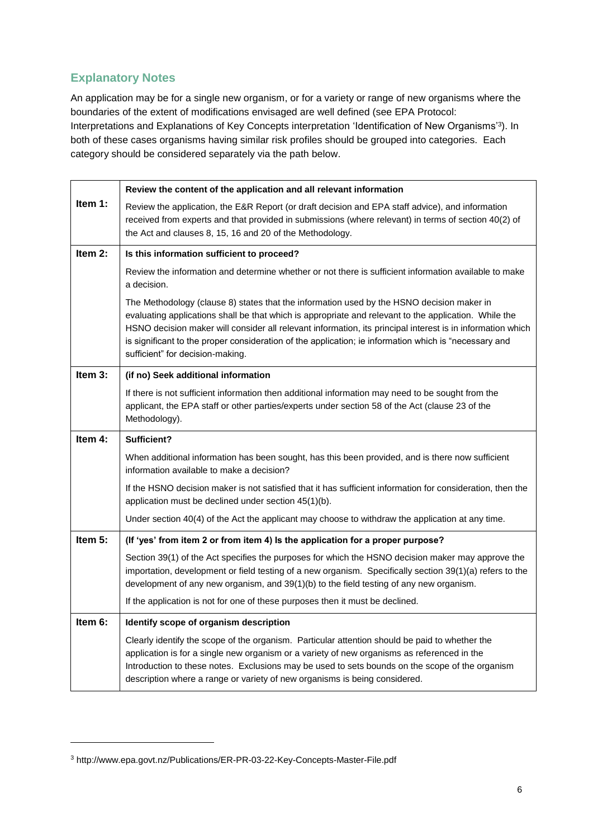### **Explanatory Notes**

An application may be for a single new organism, or for a variety or range of new organisms where the boundaries of the extent of modifications envisaged are well defined (see EPA Protocol: Interpretations and Explanations of Key Concepts interpretation 'Identification of New Organisms'<sup>3</sup> ). In both of these cases organisms having similar risk profiles should be grouped into categories. Each category should be considered separately via the path below.

|         | Review the content of the application and all relevant information                                                                                                                                                                                                                                                                                                                                                                                            |  |  |  |  |  |
|---------|---------------------------------------------------------------------------------------------------------------------------------------------------------------------------------------------------------------------------------------------------------------------------------------------------------------------------------------------------------------------------------------------------------------------------------------------------------------|--|--|--|--|--|
| Item 1: | Review the application, the E&R Report (or draft decision and EPA staff advice), and information<br>received from experts and that provided in submissions (where relevant) in terms of section 40(2) of<br>the Act and clauses 8, 15, 16 and 20 of the Methodology.                                                                                                                                                                                          |  |  |  |  |  |
| Item 2: | Is this information sufficient to proceed?                                                                                                                                                                                                                                                                                                                                                                                                                    |  |  |  |  |  |
|         | Review the information and determine whether or not there is sufficient information available to make<br>a decision.                                                                                                                                                                                                                                                                                                                                          |  |  |  |  |  |
|         | The Methodology (clause 8) states that the information used by the HSNO decision maker in<br>evaluating applications shall be that which is appropriate and relevant to the application. While the<br>HSNO decision maker will consider all relevant information, its principal interest is in information which<br>is significant to the proper consideration of the application; ie information which is "necessary and<br>sufficient" for decision-making. |  |  |  |  |  |
| Item 3: | (if no) Seek additional information                                                                                                                                                                                                                                                                                                                                                                                                                           |  |  |  |  |  |
|         | If there is not sufficient information then additional information may need to be sought from the<br>applicant, the EPA staff or other parties/experts under section 58 of the Act (clause 23 of the<br>Methodology).                                                                                                                                                                                                                                         |  |  |  |  |  |
| Item 4: | Sufficient?                                                                                                                                                                                                                                                                                                                                                                                                                                                   |  |  |  |  |  |
|         | When additional information has been sought, has this been provided, and is there now sufficient<br>information available to make a decision?                                                                                                                                                                                                                                                                                                                 |  |  |  |  |  |
|         | If the HSNO decision maker is not satisfied that it has sufficient information for consideration, then the<br>application must be declined under section 45(1)(b).                                                                                                                                                                                                                                                                                            |  |  |  |  |  |
|         | Under section 40(4) of the Act the applicant may choose to withdraw the application at any time.                                                                                                                                                                                                                                                                                                                                                              |  |  |  |  |  |
| Item 5: | (If 'yes' from item 2 or from item 4) Is the application for a proper purpose?                                                                                                                                                                                                                                                                                                                                                                                |  |  |  |  |  |
|         | Section 39(1) of the Act specifies the purposes for which the HSNO decision maker may approve the<br>importation, development or field testing of a new organism. Specifically section 39(1)(a) refers to the<br>development of any new organism, and 39(1)(b) to the field testing of any new organism.                                                                                                                                                      |  |  |  |  |  |
|         | If the application is not for one of these purposes then it must be declined.                                                                                                                                                                                                                                                                                                                                                                                 |  |  |  |  |  |
| Item 6: | Identify scope of organism description                                                                                                                                                                                                                                                                                                                                                                                                                        |  |  |  |  |  |
|         | Clearly identify the scope of the organism. Particular attention should be paid to whether the<br>application is for a single new organism or a variety of new organisms as referenced in the<br>Introduction to these notes. Exclusions may be used to sets bounds on the scope of the organism<br>description where a range or variety of new organisms is being considered.                                                                                |  |  |  |  |  |

<sup>3</sup> <http://www.epa.govt.nz/Publications/ER-PR-03-22-Key-Concepts-Master-File.pdf>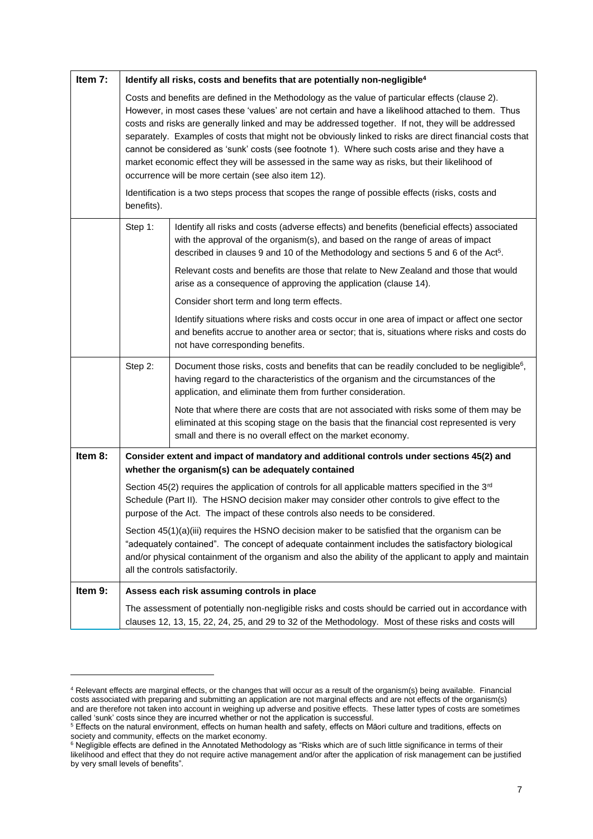| Item 7: | Identify all risks, costs and benefits that are potentially non-negligible <sup>4</sup>                                                                                                                                                                                                                                                                                                                                                                                                                                                                                                                                                                                                                                                                                                                |                                                                                                                                                                                                                                                            |  |  |  |  |  |
|---------|--------------------------------------------------------------------------------------------------------------------------------------------------------------------------------------------------------------------------------------------------------------------------------------------------------------------------------------------------------------------------------------------------------------------------------------------------------------------------------------------------------------------------------------------------------------------------------------------------------------------------------------------------------------------------------------------------------------------------------------------------------------------------------------------------------|------------------------------------------------------------------------------------------------------------------------------------------------------------------------------------------------------------------------------------------------------------|--|--|--|--|--|
|         | Costs and benefits are defined in the Methodology as the value of particular effects (clause 2).<br>However, in most cases these 'values' are not certain and have a likelihood attached to them. Thus<br>costs and risks are generally linked and may be addressed together. If not, they will be addressed<br>separately. Examples of costs that might not be obviously linked to risks are direct financial costs that<br>cannot be considered as 'sunk' costs (see footnote 1). Where such costs arise and they have a<br>market economic effect they will be assessed in the same way as risks, but their likelihood of<br>occurrence will be more certain (see also item 12).<br>Identification is a two steps process that scopes the range of possible effects (risks, costs and<br>benefits). |                                                                                                                                                                                                                                                            |  |  |  |  |  |
|         | Step 1:<br>Identify all risks and costs (adverse effects) and benefits (beneficial effects) associated<br>with the approval of the organism(s), and based on the range of areas of impact<br>described in clauses 9 and 10 of the Methodology and sections 5 and 6 of the Act <sup>5</sup> .                                                                                                                                                                                                                                                                                                                                                                                                                                                                                                           |                                                                                                                                                                                                                                                            |  |  |  |  |  |
|         |                                                                                                                                                                                                                                                                                                                                                                                                                                                                                                                                                                                                                                                                                                                                                                                                        | Relevant costs and benefits are those that relate to New Zealand and those that would<br>arise as a consequence of approving the application (clause 14).                                                                                                  |  |  |  |  |  |
|         |                                                                                                                                                                                                                                                                                                                                                                                                                                                                                                                                                                                                                                                                                                                                                                                                        | Consider short term and long term effects.                                                                                                                                                                                                                 |  |  |  |  |  |
|         |                                                                                                                                                                                                                                                                                                                                                                                                                                                                                                                                                                                                                                                                                                                                                                                                        | Identify situations where risks and costs occur in one area of impact or affect one sector<br>and benefits accrue to another area or sector; that is, situations where risks and costs do<br>not have corresponding benefits.                              |  |  |  |  |  |
|         | Step 2:                                                                                                                                                                                                                                                                                                                                                                                                                                                                                                                                                                                                                                                                                                                                                                                                | Document those risks, costs and benefits that can be readily concluded to be negligible <sup>6</sup> ,<br>having regard to the characteristics of the organism and the circumstances of the<br>application, and eliminate them from further consideration. |  |  |  |  |  |
|         |                                                                                                                                                                                                                                                                                                                                                                                                                                                                                                                                                                                                                                                                                                                                                                                                        | Note that where there are costs that are not associated with risks some of them may be<br>eliminated at this scoping stage on the basis that the financial cost represented is very<br>small and there is no overall effect on the market economy.         |  |  |  |  |  |
| Item 8: | Consider extent and impact of mandatory and additional controls under sections 45(2) and<br>whether the organism(s) can be adequately contained                                                                                                                                                                                                                                                                                                                                                                                                                                                                                                                                                                                                                                                        |                                                                                                                                                                                                                                                            |  |  |  |  |  |
|         | Section 45(2) requires the application of controls for all applicable matters specified in the $3rd$<br>Schedule (Part II). The HSNO decision maker may consider other controls to give effect to the<br>purpose of the Act. The impact of these controls also needs to be considered.                                                                                                                                                                                                                                                                                                                                                                                                                                                                                                                 |                                                                                                                                                                                                                                                            |  |  |  |  |  |
|         | Section 45(1)(a)(iii) requires the HSNO decision maker to be satisfied that the organism can be<br>"adequately contained". The concept of adequate containment includes the satisfactory biological<br>and/or physical containment of the organism and also the ability of the applicant to apply and maintain<br>all the controls satisfactorily.                                                                                                                                                                                                                                                                                                                                                                                                                                                     |                                                                                                                                                                                                                                                            |  |  |  |  |  |
| Item 9: |                                                                                                                                                                                                                                                                                                                                                                                                                                                                                                                                                                                                                                                                                                                                                                                                        | Assess each risk assuming controls in place                                                                                                                                                                                                                |  |  |  |  |  |
|         | The assessment of potentially non-negligible risks and costs should be carried out in accordance with<br>clauses 12, 13, 15, 22, 24, 25, and 29 to 32 of the Methodology. Most of these risks and costs will                                                                                                                                                                                                                                                                                                                                                                                                                                                                                                                                                                                           |                                                                                                                                                                                                                                                            |  |  |  |  |  |

<sup>4</sup> Relevant effects are marginal effects, or the changes that will occur as a result of the organism(s) being available. Financial costs associated with preparing and submitting an application are not marginal effects and are not effects of the organism(s) and are therefore not taken into account in weighing up adverse and positive effects. These latter types of costs are sometimes called 'sunk' costs since they are incurred whether or not the application is successful.

 $^5$  Effects on the natural environment, effects on human health and safety, effects on Māori culture and traditions, effects on society and community, effects on the market economy.

<sup>&</sup>lt;sup>6</sup> Negligible effects are defined in the Annotated Methodology as "Risks which are of such little significance in terms of their likelihood and effect that they do not require active management and/or after the application of risk management can be justified by very small levels of benefits".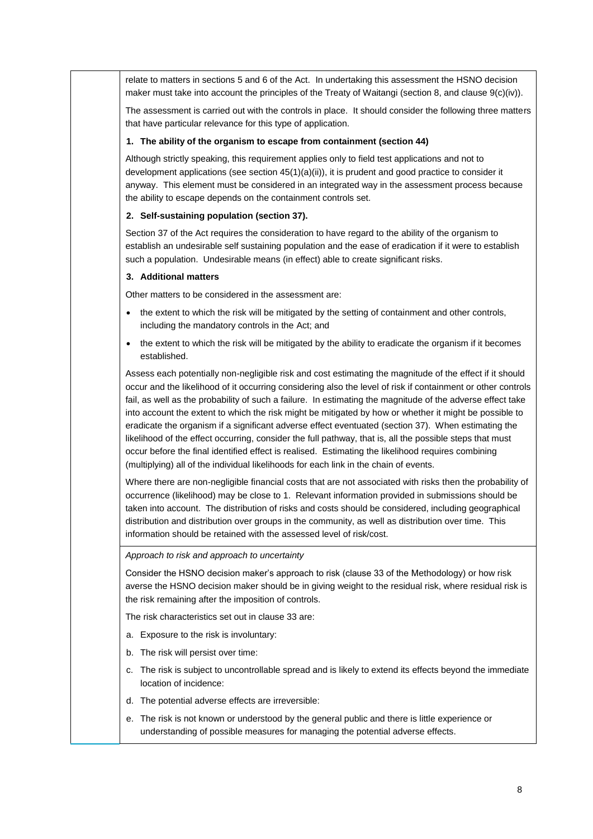relate to matters in sections 5 and 6 of the Act. In undertaking this assessment the HSNO decision maker must take into account the principles of the Treaty of Waitangi (section 8, and clause 9(c)(iv)).

The assessment is carried out with the controls in place. It should consider the following three matters that have particular relevance for this type of application.

#### **1. The ability of the organism to escape from containment (section 44)**

Although strictly speaking, this requirement applies only to field test applications and not to development applications (see section 45(1)(a)(ii)), it is prudent and good practice to consider it anyway. This element must be considered in an integrated way in the assessment process because the ability to escape depends on the containment controls set.

#### **2. Self-sustaining population (section 37).**

Section 37 of the Act requires the consideration to have regard to the ability of the organism to establish an undesirable self sustaining population and the ease of eradication if it were to establish such a population. Undesirable means (in effect) able to create significant risks.

#### **3. Additional matters**

Other matters to be considered in the assessment are:

- the extent to which the risk will be mitigated by the setting of containment and other controls, including the mandatory controls in the Act; and
- the extent to which the risk will be mitigated by the ability to eradicate the organism if it becomes established.

Assess each potentially non-negligible risk and cost estimating the magnitude of the effect if it should occur and the likelihood of it occurring considering also the level of risk if containment or other controls fail, as well as the probability of such a failure. In estimating the magnitude of the adverse effect take into account the extent to which the risk might be mitigated by how or whether it might be possible to eradicate the organism if a significant adverse effect eventuated (section 37). When estimating the likelihood of the effect occurring, consider the full pathway, that is, all the possible steps that must occur before the final identified effect is realised. Estimating the likelihood requires combining (multiplying) all of the individual likelihoods for each link in the chain of events.

Where there are non-negligible financial costs that are not associated with risks then the probability of occurrence (likelihood) may be close to 1. Relevant information provided in submissions should be taken into account. The distribution of risks and costs should be considered, including geographical distribution and distribution over groups in the community, as well as distribution over time. This information should be retained with the assessed level of risk/cost.

#### *Approach to risk and approach to uncertainty*

Consider the HSNO decision maker's approach to risk (clause 33 of the Methodology) or how risk averse the HSNO decision maker should be in giving weight to the residual risk, where residual risk is the risk remaining after the imposition of controls.

The risk characteristics set out in clause 33 are:

- a. Exposure to the risk is involuntary:
- b. The risk will persist over time:
- c. The risk is subject to uncontrollable spread and is likely to extend its effects beyond the immediate location of incidence:
- d. The potential adverse effects are irreversible:
- e. The risk is not known or understood by the general public and there is little experience or understanding of possible measures for managing the potential adverse effects.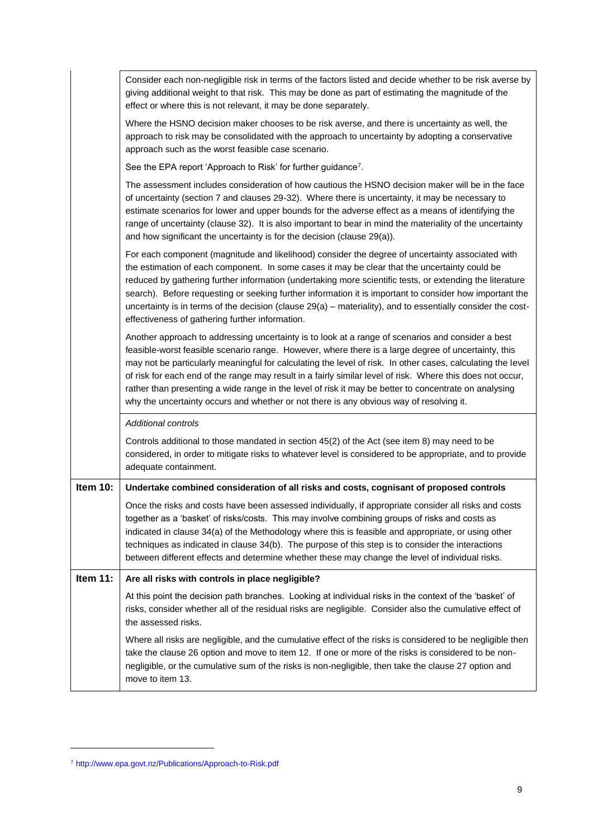|          | Consider each non-negligible risk in terms of the factors listed and decide whether to be risk averse by                                                                                                                                                                                                                                                                                                                                                                                                                                                                                                                                  |
|----------|-------------------------------------------------------------------------------------------------------------------------------------------------------------------------------------------------------------------------------------------------------------------------------------------------------------------------------------------------------------------------------------------------------------------------------------------------------------------------------------------------------------------------------------------------------------------------------------------------------------------------------------------|
|          | giving additional weight to that risk. This may be done as part of estimating the magnitude of the                                                                                                                                                                                                                                                                                                                                                                                                                                                                                                                                        |
|          | effect or where this is not relevant, it may be done separately.                                                                                                                                                                                                                                                                                                                                                                                                                                                                                                                                                                          |
|          | Where the HSNO decision maker chooses to be risk averse, and there is uncertainty as well, the<br>approach to risk may be consolidated with the approach to uncertainty by adopting a conservative<br>approach such as the worst feasible case scenario.                                                                                                                                                                                                                                                                                                                                                                                  |
|          | See the EPA report 'Approach to Risk' for further guidance <sup>7</sup> .                                                                                                                                                                                                                                                                                                                                                                                                                                                                                                                                                                 |
|          | The assessment includes consideration of how cautious the HSNO decision maker will be in the face<br>of uncertainty (section 7 and clauses 29-32). Where there is uncertainty, it may be necessary to<br>estimate scenarios for lower and upper bounds for the adverse effect as a means of identifying the<br>range of uncertainty (clause 32). It is also important to bear in mind the materiality of the uncertainty<br>and how significant the uncertainty is for the decision (clause 29(a)).                                                                                                                                       |
|          | For each component (magnitude and likelihood) consider the degree of uncertainty associated with<br>the estimation of each component. In some cases it may be clear that the uncertainty could be<br>reduced by gathering further information (undertaking more scientific tests, or extending the literature<br>search). Before requesting or seeking further information it is important to consider how important the<br>uncertainty is in terms of the decision (clause $29(a)$ – materiality), and to essentially consider the cost-<br>effectiveness of gathering further information.                                              |
|          | Another approach to addressing uncertainty is to look at a range of scenarios and consider a best<br>feasible-worst feasible scenario range. However, where there is a large degree of uncertainty, this<br>may not be particularly meaningful for calculating the level of risk. In other cases, calculating the level<br>of risk for each end of the range may result in a fairly similar level of risk. Where this does not occur,<br>rather than presenting a wide range in the level of risk it may be better to concentrate on analysing<br>why the uncertainty occurs and whether or not there is any obvious way of resolving it. |
|          | <b>Additional controls</b>                                                                                                                                                                                                                                                                                                                                                                                                                                                                                                                                                                                                                |
|          | Controls additional to those mandated in section 45(2) of the Act (see item 8) may need to be<br>considered, in order to mitigate risks to whatever level is considered to be appropriate, and to provide<br>adequate containment.                                                                                                                                                                                                                                                                                                                                                                                                        |
| Item 10: | Undertake combined consideration of all risks and costs, cognisant of proposed controls                                                                                                                                                                                                                                                                                                                                                                                                                                                                                                                                                   |
|          | Once the risks and costs have been assessed individually, if appropriate consider all risks and costs<br>together as a 'basket' of risks/costs. This may involve combining groups of risks and costs as<br>indicated in clause 34(a) of the Methodology where this is feasible and appropriate, or using other<br>techniques as indicated in clause 34(b). The purpose of this step is to consider the interactions<br>between different effects and determine whether these may change the level of individual risks.                                                                                                                    |
| Item 11: | Are all risks with controls in place negligible?                                                                                                                                                                                                                                                                                                                                                                                                                                                                                                                                                                                          |
|          | At this point the decision path branches. Looking at individual risks in the context of the 'basket' of<br>risks, consider whether all of the residual risks are negligible. Consider also the cumulative effect of<br>the assessed risks.                                                                                                                                                                                                                                                                                                                                                                                                |
|          | Where all risks are negligible, and the cumulative effect of the risks is considered to be negligible then<br>take the clause 26 option and move to item 12. If one or more of the risks is considered to be non-<br>negligible, or the cumulative sum of the risks is non-negligible, then take the clause 27 option and<br>move to item 13.                                                                                                                                                                                                                                                                                             |

<sup>7</sup> <http://www.epa.govt.nz/Publications/Approach-to-Risk.pdf>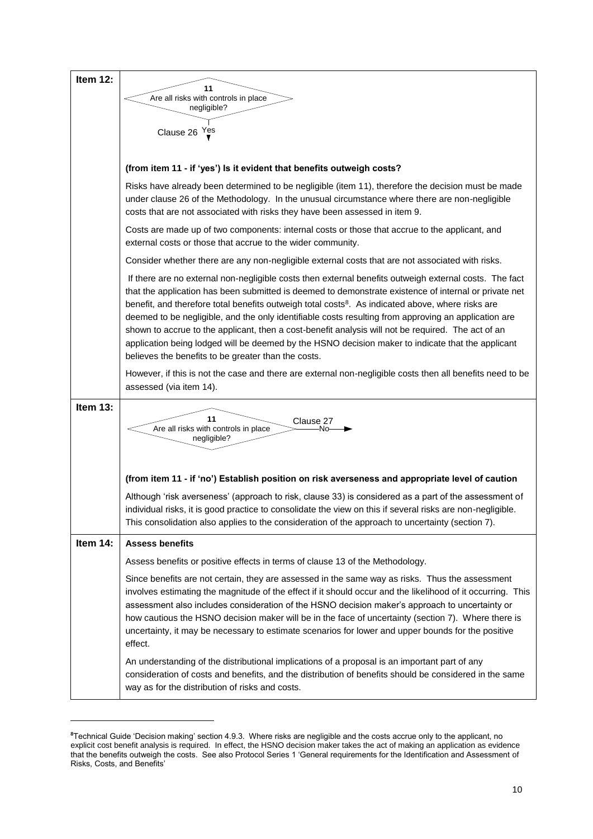| Item 12: |                                                                                                                                                                                                                                                                                                                                                                                                                                                                                                                                                                                                                                                                                                            |  |  |  |  |  |
|----------|------------------------------------------------------------------------------------------------------------------------------------------------------------------------------------------------------------------------------------------------------------------------------------------------------------------------------------------------------------------------------------------------------------------------------------------------------------------------------------------------------------------------------------------------------------------------------------------------------------------------------------------------------------------------------------------------------------|--|--|--|--|--|
|          | 11<br>Are all risks with controls in place                                                                                                                                                                                                                                                                                                                                                                                                                                                                                                                                                                                                                                                                 |  |  |  |  |  |
|          | negligible?                                                                                                                                                                                                                                                                                                                                                                                                                                                                                                                                                                                                                                                                                                |  |  |  |  |  |
|          | Clause 26 Yes                                                                                                                                                                                                                                                                                                                                                                                                                                                                                                                                                                                                                                                                                              |  |  |  |  |  |
|          |                                                                                                                                                                                                                                                                                                                                                                                                                                                                                                                                                                                                                                                                                                            |  |  |  |  |  |
|          | (from item 11 - if 'yes') Is it evident that benefits outweigh costs?                                                                                                                                                                                                                                                                                                                                                                                                                                                                                                                                                                                                                                      |  |  |  |  |  |
|          | Risks have already been determined to be negligible (item 11), therefore the decision must be made<br>under clause 26 of the Methodology. In the unusual circumstance where there are non-negligible<br>costs that are not associated with risks they have been assessed in item 9.                                                                                                                                                                                                                                                                                                                                                                                                                        |  |  |  |  |  |
|          | Costs are made up of two components: internal costs or those that accrue to the applicant, and<br>external costs or those that accrue to the wider community.                                                                                                                                                                                                                                                                                                                                                                                                                                                                                                                                              |  |  |  |  |  |
|          | Consider whether there are any non-negligible external costs that are not associated with risks.                                                                                                                                                                                                                                                                                                                                                                                                                                                                                                                                                                                                           |  |  |  |  |  |
|          | If there are no external non-negligible costs then external benefits outweigh external costs. The fact<br>that the application has been submitted is deemed to demonstrate existence of internal or private net<br>benefit, and therefore total benefits outweigh total costs <sup>8</sup> . As indicated above, where risks are<br>deemed to be negligible, and the only identifiable costs resulting from approving an application are<br>shown to accrue to the applicant, then a cost-benefit analysis will not be required. The act of an<br>application being lodged will be deemed by the HSNO decision maker to indicate that the applicant<br>believes the benefits to be greater than the costs. |  |  |  |  |  |
|          | However, if this is not the case and there are external non-negligible costs then all benefits need to be<br>assessed (via item 14).                                                                                                                                                                                                                                                                                                                                                                                                                                                                                                                                                                       |  |  |  |  |  |
| Item 13: | 11<br>Clause 27<br>Are all risks with controls in place<br>No<br>negligible?                                                                                                                                                                                                                                                                                                                                                                                                                                                                                                                                                                                                                               |  |  |  |  |  |
|          | (from item 11 - if 'no') Establish position on risk averseness and appropriate level of caution                                                                                                                                                                                                                                                                                                                                                                                                                                                                                                                                                                                                            |  |  |  |  |  |
|          | Although 'risk averseness' (approach to risk, clause 33) is considered as a part of the assessment of<br>individual risks, it is good practice to consolidate the view on this if several risks are non-negligible.<br>This consolidation also applies to the consideration of the approach to uncertainty (section 7).                                                                                                                                                                                                                                                                                                                                                                                    |  |  |  |  |  |
| Item 14: | <b>Assess benefits</b>                                                                                                                                                                                                                                                                                                                                                                                                                                                                                                                                                                                                                                                                                     |  |  |  |  |  |
|          | Assess benefits or positive effects in terms of clause 13 of the Methodology.                                                                                                                                                                                                                                                                                                                                                                                                                                                                                                                                                                                                                              |  |  |  |  |  |
|          | Since benefits are not certain, they are assessed in the same way as risks. Thus the assessment<br>involves estimating the magnitude of the effect if it should occur and the likelihood of it occurring. This<br>assessment also includes consideration of the HSNO decision maker's approach to uncertainty or<br>how cautious the HSNO decision maker will be in the face of uncertainty (section 7). Where there is<br>uncertainty, it may be necessary to estimate scenarios for lower and upper bounds for the positive<br>effect.                                                                                                                                                                   |  |  |  |  |  |
|          | An understanding of the distributional implications of a proposal is an important part of any<br>consideration of costs and benefits, and the distribution of benefits should be considered in the same<br>way as for the distribution of risks and costs.                                                                                                                                                                                                                                                                                                                                                                                                                                                 |  |  |  |  |  |

**<sup>8</sup>**Technical Guide 'Decision making' section 4.9.3. Where risks are negligible and the costs accrue only to the applicant, no explicit cost benefit analysis is required. In effect, the HSNO decision maker takes the act of making an application as evidence that the benefits outweigh the costs. See also Protocol Series 1 'General requirements for the Identification and Assessment of Risks, Costs, and Benefits'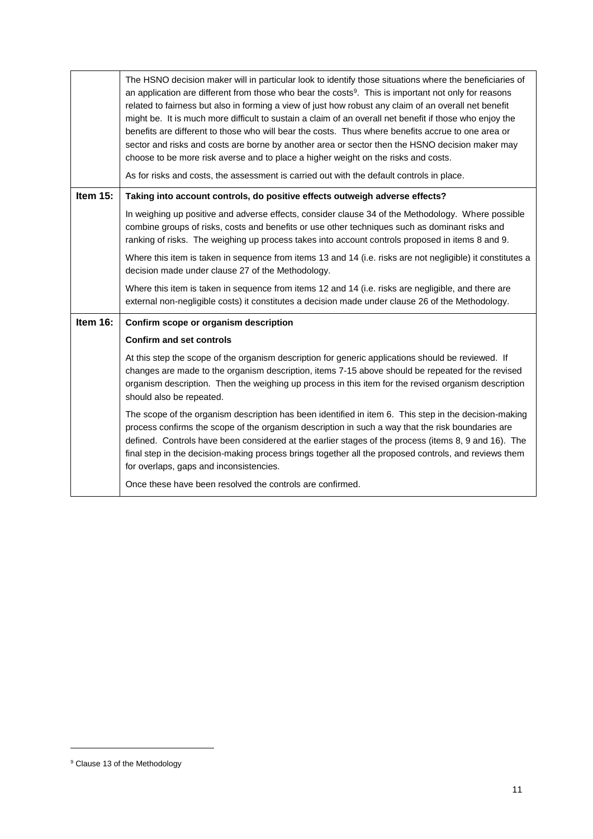|          | The HSNO decision maker will in particular look to identify those situations where the beneficiaries of<br>an application are different from those who bear the costs <sup>9</sup> . This is important not only for reasons<br>related to fairness but also in forming a view of just how robust any claim of an overall net benefit<br>might be. It is much more difficult to sustain a claim of an overall net benefit if those who enjoy the<br>benefits are different to those who will bear the costs. Thus where benefits accrue to one area or<br>sector and risks and costs are borne by another area or sector then the HSNO decision maker may<br>choose to be more risk averse and to place a higher weight on the risks and costs.<br>As for risks and costs, the assessment is carried out with the default controls in place. |
|----------|---------------------------------------------------------------------------------------------------------------------------------------------------------------------------------------------------------------------------------------------------------------------------------------------------------------------------------------------------------------------------------------------------------------------------------------------------------------------------------------------------------------------------------------------------------------------------------------------------------------------------------------------------------------------------------------------------------------------------------------------------------------------------------------------------------------------------------------------|
| Item 15: | Taking into account controls, do positive effects outweigh adverse effects?                                                                                                                                                                                                                                                                                                                                                                                                                                                                                                                                                                                                                                                                                                                                                                 |
|          | In weighing up positive and adverse effects, consider clause 34 of the Methodology. Where possible<br>combine groups of risks, costs and benefits or use other techniques such as dominant risks and<br>ranking of risks. The weighing up process takes into account controls proposed in items 8 and 9.                                                                                                                                                                                                                                                                                                                                                                                                                                                                                                                                    |
|          | Where this item is taken in sequence from items 13 and 14 (i.e. risks are not negligible) it constitutes a<br>decision made under clause 27 of the Methodology.                                                                                                                                                                                                                                                                                                                                                                                                                                                                                                                                                                                                                                                                             |
|          | Where this item is taken in sequence from items 12 and 14 (i.e. risks are negligible, and there are<br>external non-negligible costs) it constitutes a decision made under clause 26 of the Methodology.                                                                                                                                                                                                                                                                                                                                                                                                                                                                                                                                                                                                                                    |
| Item 16: | Confirm scope or organism description                                                                                                                                                                                                                                                                                                                                                                                                                                                                                                                                                                                                                                                                                                                                                                                                       |
|          | <b>Confirm and set controls</b>                                                                                                                                                                                                                                                                                                                                                                                                                                                                                                                                                                                                                                                                                                                                                                                                             |
|          | At this step the scope of the organism description for generic applications should be reviewed. If<br>changes are made to the organism description, items 7-15 above should be repeated for the revised<br>organism description. Then the weighing up process in this item for the revised organism description<br>should also be repeated.                                                                                                                                                                                                                                                                                                                                                                                                                                                                                                 |
|          | The scope of the organism description has been identified in item 6. This step in the decision-making<br>process confirms the scope of the organism description in such a way that the risk boundaries are<br>defined. Controls have been considered at the earlier stages of the process (items 8, 9 and 16). The<br>final step in the decision-making process brings together all the proposed controls, and reviews them<br>for overlaps, gaps and inconsistencies.                                                                                                                                                                                                                                                                                                                                                                      |
|          | Once these have been resolved the controls are confirmed.                                                                                                                                                                                                                                                                                                                                                                                                                                                                                                                                                                                                                                                                                                                                                                                   |

<sup>&</sup>lt;sup>9</sup> Clause 13 of the Methodology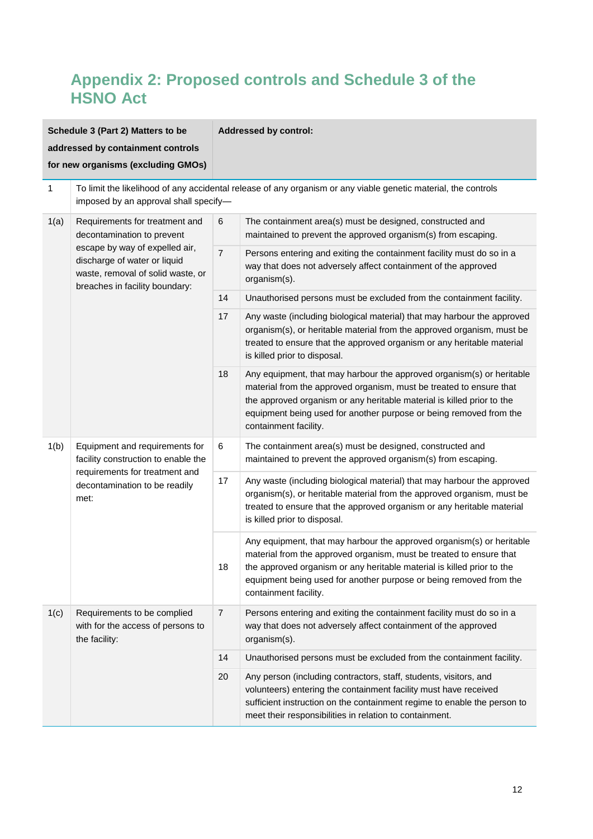## **Appendix 2: Proposed controls and Schedule 3 of the HSNO Act**

| Schedule 3 (Part 2) Matters to be  |                                                                                                                                                                                                       | <b>Addressed by control:</b>                                                                                                                                                                                                                                                                                          |                                                                                                                                                                                                                                                                                                                       |  |
|------------------------------------|-------------------------------------------------------------------------------------------------------------------------------------------------------------------------------------------------------|-----------------------------------------------------------------------------------------------------------------------------------------------------------------------------------------------------------------------------------------------------------------------------------------------------------------------|-----------------------------------------------------------------------------------------------------------------------------------------------------------------------------------------------------------------------------------------------------------------------------------------------------------------------|--|
| addressed by containment controls  |                                                                                                                                                                                                       |                                                                                                                                                                                                                                                                                                                       |                                                                                                                                                                                                                                                                                                                       |  |
| for new organisms (excluding GMOs) |                                                                                                                                                                                                       |                                                                                                                                                                                                                                                                                                                       |                                                                                                                                                                                                                                                                                                                       |  |
| 1                                  | To limit the likelihood of any accidental release of any organism or any viable genetic material, the controls<br>imposed by an approval shall specify-                                               |                                                                                                                                                                                                                                                                                                                       |                                                                                                                                                                                                                                                                                                                       |  |
| 1(a)                               | Requirements for treatment and<br>decontamination to prevent<br>escape by way of expelled air,<br>discharge of water or liquid<br>waste, removal of solid waste, or<br>breaches in facility boundary: | 6                                                                                                                                                                                                                                                                                                                     | The containment area(s) must be designed, constructed and<br>maintained to prevent the approved organism(s) from escaping.                                                                                                                                                                                            |  |
|                                    |                                                                                                                                                                                                       | $\overline{7}$                                                                                                                                                                                                                                                                                                        | Persons entering and exiting the containment facility must do so in a<br>way that does not adversely affect containment of the approved<br>organism(s).                                                                                                                                                               |  |
|                                    |                                                                                                                                                                                                       | 14                                                                                                                                                                                                                                                                                                                    | Unauthorised persons must be excluded from the containment facility.                                                                                                                                                                                                                                                  |  |
|                                    |                                                                                                                                                                                                       | 17                                                                                                                                                                                                                                                                                                                    | Any waste (including biological material) that may harbour the approved<br>organism(s), or heritable material from the approved organism, must be<br>treated to ensure that the approved organism or any heritable material<br>is killed prior to disposal.                                                           |  |
|                                    | 18                                                                                                                                                                                                    | Any equipment, that may harbour the approved organism(s) or heritable<br>material from the approved organism, must be treated to ensure that<br>the approved organism or any heritable material is killed prior to the<br>equipment being used for another purpose or being removed from the<br>containment facility. |                                                                                                                                                                                                                                                                                                                       |  |
| 1(b)                               | Equipment and requirements for<br>facility construction to enable the                                                                                                                                 | 6                                                                                                                                                                                                                                                                                                                     | The containment area(s) must be designed, constructed and<br>maintained to prevent the approved organism(s) from escaping.                                                                                                                                                                                            |  |
| met:                               | requirements for treatment and<br>decontamination to be readily                                                                                                                                       | 17                                                                                                                                                                                                                                                                                                                    | Any waste (including biological material) that may harbour the approved<br>organism(s), or heritable material from the approved organism, must be<br>treated to ensure that the approved organism or any heritable material<br>is killed prior to disposal.                                                           |  |
|                                    |                                                                                                                                                                                                       | 18                                                                                                                                                                                                                                                                                                                    | Any equipment, that may harbour the approved organism(s) or heritable<br>material from the approved organism, must be treated to ensure that<br>the approved organism or any heritable material is killed prior to the<br>equipment being used for another purpose or being removed from the<br>containment facility. |  |
| 1(c)                               | Requirements to be complied<br>with for the access of persons to<br>the facility:                                                                                                                     | $\overline{7}$                                                                                                                                                                                                                                                                                                        | Persons entering and exiting the containment facility must do so in a<br>way that does not adversely affect containment of the approved<br>organism(s).                                                                                                                                                               |  |
|                                    |                                                                                                                                                                                                       | 14                                                                                                                                                                                                                                                                                                                    | Unauthorised persons must be excluded from the containment facility.                                                                                                                                                                                                                                                  |  |
|                                    |                                                                                                                                                                                                       | 20                                                                                                                                                                                                                                                                                                                    | Any person (including contractors, staff, students, visitors, and<br>volunteers) entering the containment facility must have received<br>sufficient instruction on the containment regime to enable the person to<br>meet their responsibilities in relation to containment.                                          |  |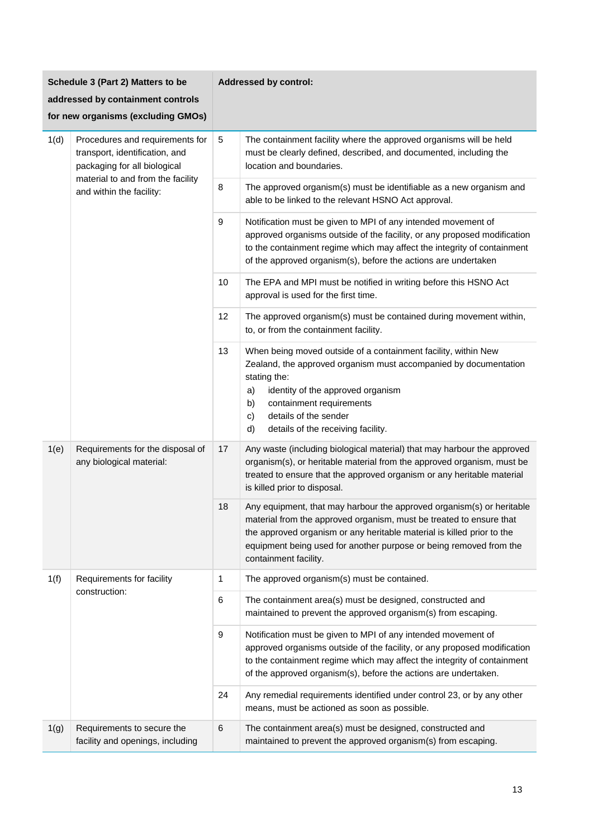| Schedule 3 (Part 2) Matters to be  |                                                                                                   | <b>Addressed by control:</b> |                                                                                                                                                                                                                                                                                                                       |  |
|------------------------------------|---------------------------------------------------------------------------------------------------|------------------------------|-----------------------------------------------------------------------------------------------------------------------------------------------------------------------------------------------------------------------------------------------------------------------------------------------------------------------|--|
| addressed by containment controls  |                                                                                                   |                              |                                                                                                                                                                                                                                                                                                                       |  |
| for new organisms (excluding GMOs) |                                                                                                   |                              |                                                                                                                                                                                                                                                                                                                       |  |
| 1(d)                               | Procedures and requirements for<br>transport, identification, and<br>packaging for all biological | 5                            | The containment facility where the approved organisms will be held<br>must be clearly defined, described, and documented, including the<br>location and boundaries.                                                                                                                                                   |  |
|                                    | material to and from the facility<br>and within the facility:                                     | 8                            | The approved organism(s) must be identifiable as a new organism and<br>able to be linked to the relevant HSNO Act approval.                                                                                                                                                                                           |  |
|                                    |                                                                                                   | 9                            | Notification must be given to MPI of any intended movement of<br>approved organisms outside of the facility, or any proposed modification<br>to the containment regime which may affect the integrity of containment<br>of the approved organism(s), before the actions are undertaken                                |  |
|                                    |                                                                                                   | 10                           | The EPA and MPI must be notified in writing before this HSNO Act<br>approval is used for the first time.                                                                                                                                                                                                              |  |
|                                    |                                                                                                   | 12                           | The approved organism(s) must be contained during movement within,<br>to, or from the containment facility.                                                                                                                                                                                                           |  |
|                                    |                                                                                                   | 13                           | When being moved outside of a containment facility, within New<br>Zealand, the approved organism must accompanied by documentation<br>stating the:<br>identity of the approved organism<br>a)<br>containment requirements<br>b)<br>details of the sender<br>c)<br>d)<br>details of the receiving facility.            |  |
| 1(e)                               | Requirements for the disposal of<br>any biological material:                                      | 17                           | Any waste (including biological material) that may harbour the approved<br>organism(s), or heritable material from the approved organism, must be<br>treated to ensure that the approved organism or any heritable material<br>is killed prior to disposal.                                                           |  |
|                                    |                                                                                                   | 18                           | Any equipment, that may harbour the approved organism(s) or heritable<br>material from the approved organism, must be treated to ensure that<br>the approved organism or any heritable material is killed prior to the<br>equipment being used for another purpose or being removed from the<br>containment facility. |  |
| 1(f)                               | Requirements for facility<br>construction:                                                        | 1                            | The approved organism(s) must be contained.                                                                                                                                                                                                                                                                           |  |
|                                    |                                                                                                   | 6                            | The containment area(s) must be designed, constructed and<br>maintained to prevent the approved organism(s) from escaping.                                                                                                                                                                                            |  |
|                                    |                                                                                                   | 9                            | Notification must be given to MPI of any intended movement of<br>approved organisms outside of the facility, or any proposed modification<br>to the containment regime which may affect the integrity of containment<br>of the approved organism(s), before the actions are undertaken.                               |  |
|                                    |                                                                                                   | 24                           | Any remedial requirements identified under control 23, or by any other<br>means, must be actioned as soon as possible.                                                                                                                                                                                                |  |
| 1(g)                               | Requirements to secure the<br>facility and openings, including                                    | $6\phantom{1}6$              | The containment area(s) must be designed, constructed and<br>maintained to prevent the approved organism(s) from escaping.                                                                                                                                                                                            |  |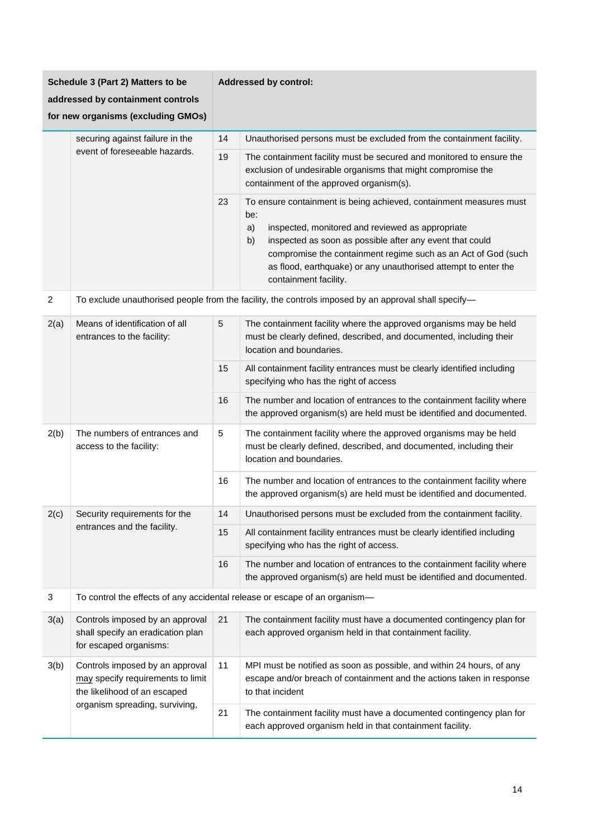| Schedule 3 (Part 2) Matters to be  |                                                                                                                                        | <b>Addressed by control:</b> |                                                                                                                                                                                                                                                                                                                                                                   |  |
|------------------------------------|----------------------------------------------------------------------------------------------------------------------------------------|------------------------------|-------------------------------------------------------------------------------------------------------------------------------------------------------------------------------------------------------------------------------------------------------------------------------------------------------------------------------------------------------------------|--|
| addressed by containment controls  |                                                                                                                                        |                              |                                                                                                                                                                                                                                                                                                                                                                   |  |
| for new organisms (excluding GMOs) |                                                                                                                                        |                              |                                                                                                                                                                                                                                                                                                                                                                   |  |
|                                    | securing against failure in the                                                                                                        | 14                           | Unauthorised persons must be excluded from the containment facility.                                                                                                                                                                                                                                                                                              |  |
|                                    | event of foreseeable hazards.                                                                                                          | 19                           | The containment facility must be secured and monitored to ensure the<br>exclusion of undesirable organisms that might compromise the<br>containment of the approved organism(s).                                                                                                                                                                                  |  |
|                                    |                                                                                                                                        | 23                           | To ensure containment is being achieved, containment measures must<br>be:<br>inspected, monitored and reviewed as appropriate<br>a)<br>inspected as soon as possible after any event that could<br>b)<br>compromise the containment regime such as an Act of God (such<br>as flood, earthquake) or any unauthorised attempt to enter the<br>containment facility. |  |
| $\overline{2}$                     |                                                                                                                                        |                              | To exclude unauthorised people from the facility, the controls imposed by an approval shall specify-                                                                                                                                                                                                                                                              |  |
| 2(a)                               | Means of identification of all<br>entrances to the facility:                                                                           | $\sqrt{5}$                   | The containment facility where the approved organisms may be held<br>must be clearly defined, described, and documented, including their<br>location and boundaries.                                                                                                                                                                                              |  |
|                                    |                                                                                                                                        | 15                           | All containment facility entrances must be clearly identified including<br>specifying who has the right of access                                                                                                                                                                                                                                                 |  |
|                                    |                                                                                                                                        | 16                           | The number and location of entrances to the containment facility where<br>the approved organism(s) are held must be identified and documented.                                                                                                                                                                                                                    |  |
| 2(b)                               | The numbers of entrances and<br>access to the facility:                                                                                | 5                            | The containment facility where the approved organisms may be held<br>must be clearly defined, described, and documented, including their<br>location and boundaries.                                                                                                                                                                                              |  |
|                                    |                                                                                                                                        | 16                           | The number and location of entrances to the containment facility where<br>the approved organism(s) are held must be identified and documented.                                                                                                                                                                                                                    |  |
| 2(c)                               | Security requirements for the                                                                                                          | 14                           | Unauthorised persons must be excluded from the containment facility.                                                                                                                                                                                                                                                                                              |  |
|                                    | entrances and the facility.                                                                                                            | 15                           | All containment facility entrances must be clearly identified including<br>specifying who has the right of access.                                                                                                                                                                                                                                                |  |
|                                    |                                                                                                                                        | 16                           | The number and location of entrances to the containment facility where<br>the approved organism(s) are held must be identified and documented.                                                                                                                                                                                                                    |  |
| 3                                  | To control the effects of any accidental release or escape of an organism-                                                             |                              |                                                                                                                                                                                                                                                                                                                                                                   |  |
| 3(a)                               | Controls imposed by an approval<br>shall specify an eradication plan<br>for escaped organisms:                                         | 21                           | The containment facility must have a documented contingency plan for<br>each approved organism held in that containment facility.                                                                                                                                                                                                                                 |  |
| 3(b)                               | Controls imposed by an approval<br>may specify requirements to limit<br>the likelihood of an escaped<br>organism spreading, surviving, | 11                           | MPI must be notified as soon as possible, and within 24 hours, of any<br>escape and/or breach of containment and the actions taken in response<br>to that incident                                                                                                                                                                                                |  |
|                                    |                                                                                                                                        | 21                           | The containment facility must have a documented contingency plan for<br>each approved organism held in that containment facility.                                                                                                                                                                                                                                 |  |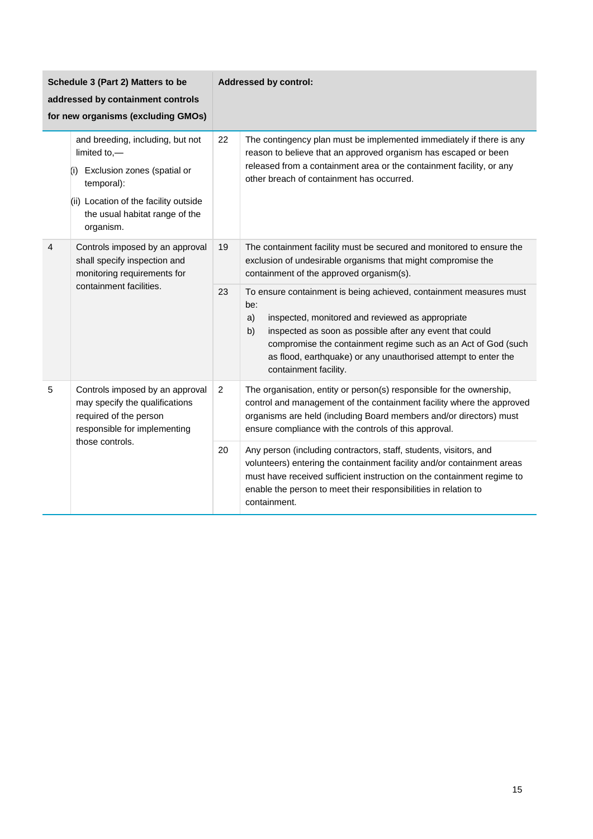| Schedule 3 (Part 2) Matters to be<br>addressed by containment controls<br>for new organisms (excluding GMOs) |                                                                                                                                                                                              |                | <b>Addressed by control:</b>                                                                                                                                                                                                                                                                                                                                      |
|--------------------------------------------------------------------------------------------------------------|----------------------------------------------------------------------------------------------------------------------------------------------------------------------------------------------|----------------|-------------------------------------------------------------------------------------------------------------------------------------------------------------------------------------------------------------------------------------------------------------------------------------------------------------------------------------------------------------------|
|                                                                                                              | and breeding, including, but not<br>limited to,-<br>Exclusion zones (spatial or<br>(i)<br>temporal):<br>(ii) Location of the facility outside<br>the usual habitat range of the<br>organism. | 22             | The contingency plan must be implemented immediately if there is any<br>reason to believe that an approved organism has escaped or been<br>released from a containment area or the containment facility, or any<br>other breach of containment has occurred.                                                                                                      |
| 4                                                                                                            | Controls imposed by an approval<br>shall specify inspection and<br>monitoring requirements for<br>containment facilities.                                                                    | 19             | The containment facility must be secured and monitored to ensure the<br>exclusion of undesirable organisms that might compromise the<br>containment of the approved organism(s).                                                                                                                                                                                  |
|                                                                                                              |                                                                                                                                                                                              | 23             | To ensure containment is being achieved, containment measures must<br>be:<br>inspected, monitored and reviewed as appropriate<br>a)<br>b)<br>inspected as soon as possible after any event that could<br>compromise the containment regime such as an Act of God (such<br>as flood, earthquake) or any unauthorised attempt to enter the<br>containment facility. |
| 5                                                                                                            | Controls imposed by an approval<br>may specify the qualifications<br>required of the person<br>responsible for implementing<br>those controls.                                               | $\overline{c}$ | The organisation, entity or person(s) responsible for the ownership,<br>control and management of the containment facility where the approved<br>organisms are held (including Board members and/or directors) must<br>ensure compliance with the controls of this approval.                                                                                      |
|                                                                                                              |                                                                                                                                                                                              | 20             | Any person (including contractors, staff, students, visitors, and<br>volunteers) entering the containment facility and/or containment areas<br>must have received sufficient instruction on the containment regime to<br>enable the person to meet their responsibilities in relation to<br>containment.                                                          |